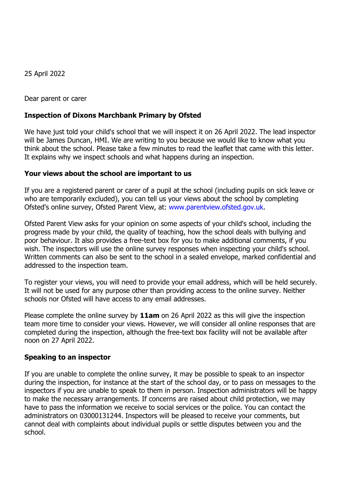25 April 2022

Dear parent or carer

## **Inspection of Dixons Marchbank Primary by Ofsted**

We have just told your child's school that we will inspect it on 26 April 2022. The lead inspector will be James Duncan, HMI. We are writing to you because we would like to know what you think about the school. Please take a few minutes to read the leaflet that came with this letter. It explains why we inspect schools and what happens during an inspection.

## **Your views about the school are important to us**

If you are a registered parent or carer of a pupil at the school (including pupils on sick leave or who are temporarily excluded), you can tell us your views about the school by completing Ofsted's online survey, Ofsted Parent View, at: [www.parentview.ofsted.gov.uk.](http://www.parentview.ofsted.gov.uk/)

Ofsted Parent View asks for your opinion on some aspects of your child's school, including the progress made by your child, the quality of teaching, how the school deals with bullying and poor behaviour. It also provides a free-text box for you to make additional comments, if you wish. The inspectors will use the online survey responses when inspecting your child's school. Written comments can also be sent to the school in a sealed envelope, marked confidential and addressed to the inspection team.

To register your views, you will need to provide your email address, which will be held securely. It will not be used for any purpose other than providing access to the online survey. Neither schools nor Ofsted will have access to any email addresses.

Please complete the online survey by **11am** on 26 April 2022 as this will give the inspection team more time to consider your views. However, we will consider all online responses that are completed during the inspection, although the free-text box facility will not be available after noon on 27 April 2022.

## **Speaking to an inspector**

If you are unable to complete the online survey, it may be possible to speak to an inspector during the inspection, for instance at the start of the school day, or to pass on messages to the inspectors if you are unable to speak to them in person. Inspection administrators will be happy to make the necessary arrangements. If concerns are raised about child protection, we may have to pass the information we receive to social services or the police. You can contact the administrators on 03000131244. Inspectors will be pleased to receive your comments, but cannot deal with complaints about individual pupils or settle disputes between you and the school.